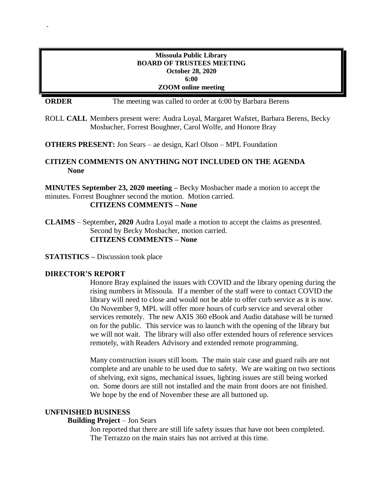#### **Missoula Public Library BOARD OF TRUSTEES MEETING October 28, 2020 6:00 ZOOM online meeting**

**ORDER** The meeting was called to order at 6:00 by Barbara Berens

ROLL **CALL** Members present were: Audra Loyal, Margaret Wafstet, Barbara Berens, Becky Mosbacher, Forrest Boughner, Carol Wolfe, and Honore Bray

**OTHERS PRESENT:** Jon Sears – ae design, Karl Olson – MPL Foundation

# **CITIZEN COMMENTS ON ANYTHING NOT INCLUDED ON THE AGENDA None**

**MINUTES September 23, 2020 meeting –** Becky Mosbacher made a motion to accept the minutes. Forrest Boughner second the motion. Motion carried. **CITIZENS COMMENTS – None**

**CLAIMS** – September**, 2020** Audra Loyal made a motion to accept the claims as presented. Second by Becky Mosbacher, motion carried. **CITIZENS COMMENTS – None**

**STATISTICS –** Discussion took place

### **DIRECTOR'S REPORT**

-

Honore Bray explained the issues with COVID and the library opening during the rising numbers in Missoula. If a member of the staff were to contact COVID the library will need to close and would not be able to offer curb service as it is now. On November 9, MPL will offer more hours of curb service and several other services remotely. The new AXIS 360 eBook and Audio database will be turned on for the public. This service was to launch with the opening of the library but we will not wait. The library will also offer extended hours of reference services remotely, with Readers Advisory and extended remote programming.

Many construction issues still loom. The main stair case and guard rails are not complete and are unable to be used due to safety. We are waiting on two sections of shelving, exit signs, mechanical issues, lighting issues are still being worked on. Some doors are still not installed and the main front doors are not finished. We hope by the end of November these are all buttoned up.

#### **UNFINISHED BUSINESS**

### **Building Project** – Jon Sears

Jon reported that there are still life safety issues that have not been completed. The Terrazzo on the main stairs has not arrived at this time.